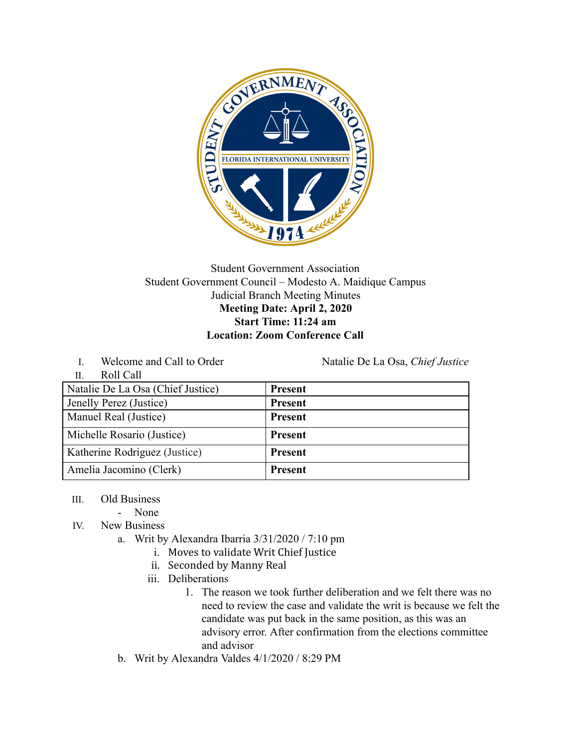

## Student Government Association Student Government Council – Modesto A. Maidique Campus Judicial Branch Meeting Minutes **Meeting Date: April 2, 2020 Start Time: 11:24 am Location: Zoom Conference Call**

I. Welcome and Call to Order Natalie De La Osa, *Chief Justice* 

| Roll Call<br>$\prod$              |                |
|-----------------------------------|----------------|
| Natalie De La Osa (Chief Justice) | <b>Present</b> |
| Jenelly Perez (Justice)           | <b>Present</b> |
| Manuel Real (Justice)             | <b>Present</b> |
| Michelle Rosario (Justice)        | <b>Present</b> |
| Katherine Rodriguez (Justice)     | <b>Present</b> |
| Amelia Jacomino (Clerk)           | <b>Present</b> |

- III. Old Business
	- None
- IV. New Business
	- a. Writ by Alexandra Ibarria 3/31/2020 / 7:10 pm
		- i. Moves to validate Writ Chief Justice
		- ii. Seconded by Manny Real
		- iii. Deliberations
			- 1. The reason we took further deliberation and we felt there was no need to review the case and validate the writ is because we felt the candidate was put back in the same position, as this was an advisory error. After confirmation from the elections committee and advisor
	- b. Writ by Alexandra Valdes 4/1/2020 / 8:29 PM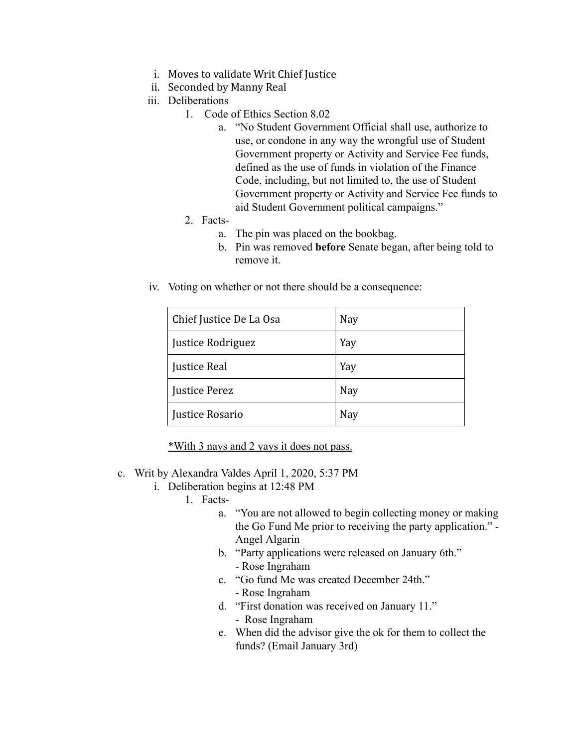- i. Moves to validate Writ Chief Justice
- ii. Seconded by Manny Real
- iii. Deliberations
	- 1. Code of Ethics Section 8.02
		- a. "No Student Government Official shall use, authorize to use, or condone in any way the wrongful use of Student Government property or Activity and Service Fee funds, defined as the use of funds in violation of the Finance Code, including, but not limited to, the use of Student Government property or Activity and Service Fee funds to aid Student Government political campaigns."
	- 2. Facts
		- a. The pin was placed on the bookbag.
		- b. Pin was removed **before** Senate began, after being told to remove it.
- iv. Voting on whether or not there should be a consequence:

| Chief Justice De La Osa | <b>Nay</b> |
|-------------------------|------------|
| Justice Rodriguez       | Yay        |
| <b>Justice Real</b>     | Yay        |
| <b>Justice Perez</b>    | <b>Nay</b> |
| Justice Rosario         | <b>Nay</b> |

\*With 3 nays and 2 yays it does not pass.

- c. Writ by Alexandra Valdes April 1, 2020, 5:37 PM
	- i. Deliberation begins at 12:48 PM
		- 1. Facts
			- a. "You are not allowed to begin collecting money or making the Go Fund Me prior to receiving the party application." - Angel Algarin
			- b. "Party applications were released on January 6th." - Rose Ingraham
			- c. "Go fund Me was created December 24th." - Rose Ingraham
			- d. "First donation was received on January 11." - Rose Ingraham
			- e. When did the advisor give the ok for them to collect the funds? (Email January 3rd)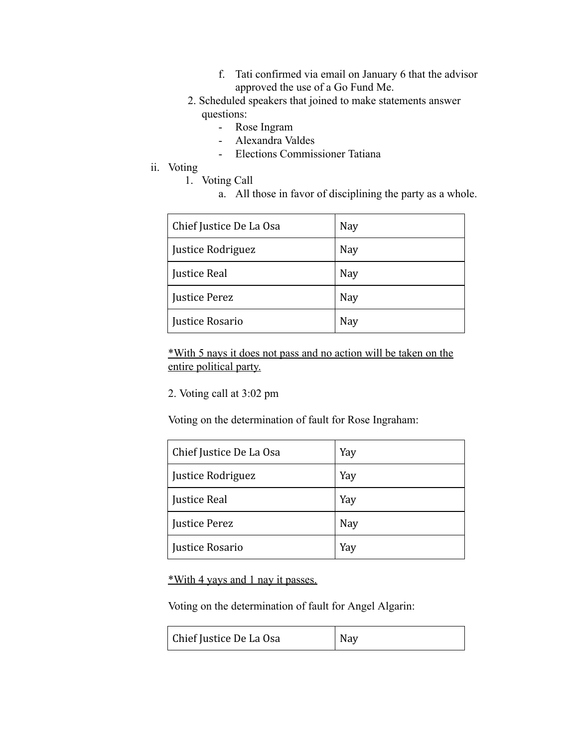- f. Tati confirmed via email on January 6 that the advisor approved the use of a Go Fund Me.
- 2. Scheduled speakers that joined to make statements answer questions:
	- Rose Ingram
	- Alexandra Valdes
	- Elections Commissioner Tatiana
- ii. Voting
	- 1. Voting Call
		- a. All those in favor of disciplining the party as a whole.

| Chief Justice De La Osa | <b>Nay</b> |
|-------------------------|------------|
| Justice Rodriguez       | <b>Nay</b> |
| <b>Justice Real</b>     | <b>Nay</b> |
| <b>Justice Perez</b>    | Nay        |
| Justice Rosario         | Nay        |

\*With 5 nays it does not pass and no action will be taken on the entire political party.

2. Voting call at 3:02 pm

Voting on the determination of fault for Rose Ingraham:

| Chief Justice De La Osa | Yay        |
|-------------------------|------------|
| Justice Rodriguez       | Yay        |
| <b>Justice Real</b>     | Yay        |
| <b>Justice Perez</b>    | <b>Nay</b> |
| Justice Rosario         | Yay        |

\*With 4 yays and 1 nay it passes.

Voting on the determination of fault for Angel Algarin:

| Chief Justice De La Osa | Nay |
|-------------------------|-----|
|-------------------------|-----|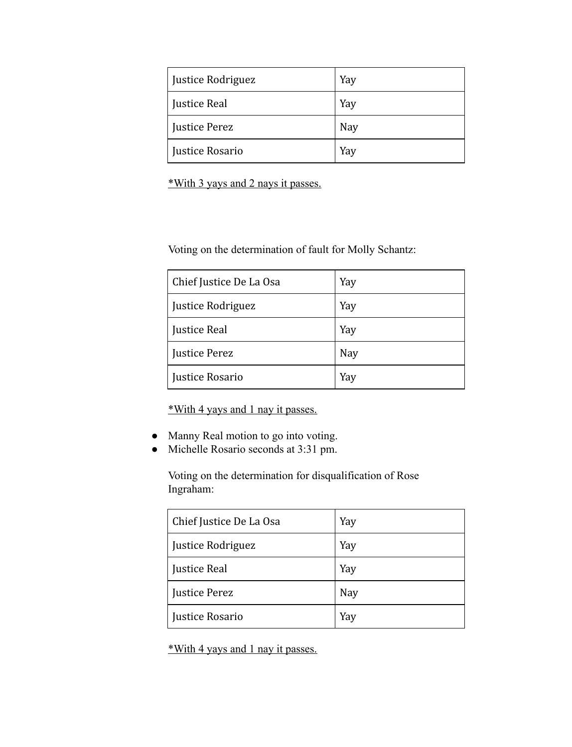| Justice Rodriguez   | Yay        |
|---------------------|------------|
| <b>Justice Real</b> | Yay        |
| Justice Perez       | <b>Nay</b> |
| Justice Rosario     | Yay        |

\*With 3 yays and 2 nays it passes.

Voting on the determination of fault for Molly Schantz:

| Chief Justice De La Osa | Yay |
|-------------------------|-----|
| Justice Rodriguez       | Yay |
| <b>Justice Real</b>     | Yay |
| <b>Justice Perez</b>    | Nay |
| Justice Rosario         | Yay |

\*With 4 yays and 1 nay it passes.

- Manny Real motion to go into voting.
- Michelle Rosario seconds at 3:31 pm.

Voting on the determination for disqualification of Rose Ingraham:

| Chief Justice De La Osa | Yay |
|-------------------------|-----|
| Justice Rodriguez       | Yay |
| <b>Justice Real</b>     | Yay |
| <b>Justice Perez</b>    | Nay |
| Justice Rosario         | Yay |

\*With 4 yays and 1 nay it passes.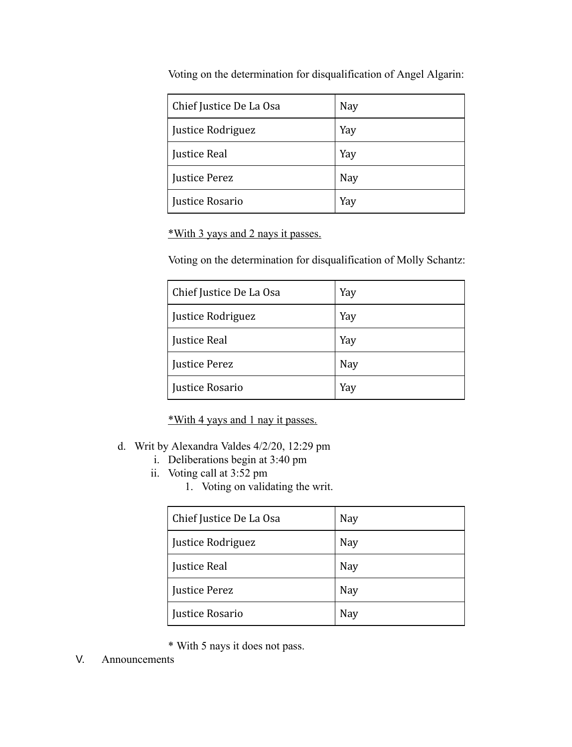| Chief Justice De La Osa | Nay        |
|-------------------------|------------|
| Justice Rodriguez       | Yay        |
| <b>Justice Real</b>     | Yay        |
| <b>Justice Perez</b>    | <b>Nay</b> |
| Justice Rosario         | Yay        |

Voting on the determination for disqualification of Angel Algarin:

\*With 3 yays and 2 nays it passes.

Voting on the determination for disqualification of Molly Schantz:

| Chief Justice De La Osa | Yay        |
|-------------------------|------------|
| Justice Rodriguez       | Yay        |
| <b>Justice Real</b>     | Yay        |
| <b>Justice Perez</b>    | <b>Nay</b> |
| Justice Rosario         | Yay        |

\*With 4 yays and 1 nay it passes.

- d. Writ by Alexandra Valdes 4/2/20, 12:29 pm
	- i. Deliberations begin at 3:40 pm
	- ii. Voting call at 3:52 pm
		- 1. Voting on validating the writ.

| Chief Justice De La Osa | Nay        |
|-------------------------|------------|
| Justice Rodriguez       | Nay        |
| <b>Justice Real</b>     | Nay        |
| <b>Justice Perez</b>    | <b>Nay</b> |
| Justice Rosario         | Nay        |

- \* With 5 nays it does not pass.
- V. Announcements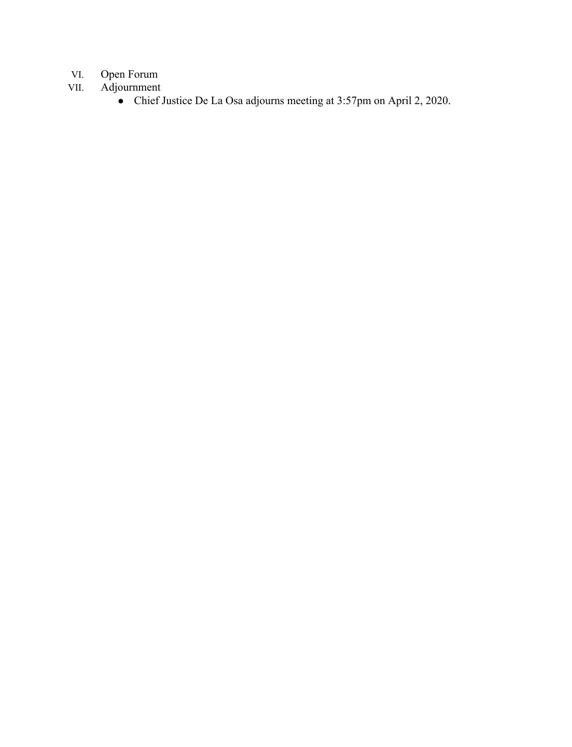## VI. Open Forum<br>VII. Adjournment

- Adjournment
	- Chief Justice De La Osa adjourns meeting at 3:57pm on April 2, 2020.